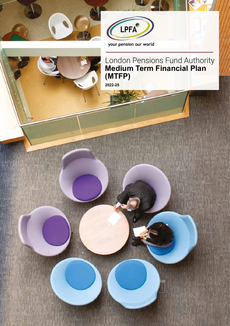



your pension our world

## London Pensions Fund Authority **Medium Term Financial Plan (MTFP)**

**2022-25**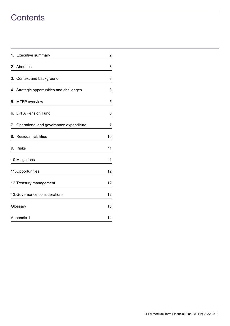## **Contents**

| 1. Executive summary                      | $\overline{a}$ |
|-------------------------------------------|----------------|
| 2. About us                               | 3              |
| 3. Context and background                 | 3              |
| 4. Strategic opportunities and challenges | 3              |
| 5. MTFP overview                          | 5              |
| 6. LPFA Pension Fund                      | 5              |
| 7. Operational and governance expenditure | 7              |
| 8. Residual liabilities                   | 10             |
| 9. Risks                                  | 11             |
| 10. Mitigations                           | 11             |
| 11. Opportunities                         | 12             |
| 12. Treasury management                   | 12             |
| 13. Governance considerations             | 12             |
| Glossary                                  | 13             |
| Appendix 1                                | 14             |
|                                           |                |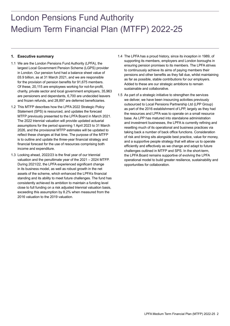# London Pensions Fund Authority Medium Term Financial Plan (MTFP) 2022-25

## **1. Executive summary**

- 1.1 We are the London Pensions Fund Authority (LPFA), the largest Local Government Pension Scheme (LGPS) provider in London. Our pension fund had a balance sheet value of £6.9 billion, as at 31 March 2021, and we are responsible for the provision of pension benefits for 91,675 members. Of these, 20,115 are employees working for not-for-profit, charity, private sector and local government employers, 35,963 are pensioners and dependants, 6,700 are undecided leavers and frozen refunds, and 28,897 are deferred beneficiaries.
- 1.2 This MTFP describes how the LPFA 2022 Strategic Policy Statement (SPS) is resourced, and updates the forecast MTFP previously presented to the LPFA Board in March 2021. The 2022 triennial valuation will provide updated actuarial assumptions for the period spanning 1 April 2023 to 31 March 2026, and the provisional MTFP estimates will be updated to reflect these changes at that time. The purpose of the MTFP is to outline and update the three-year financial strategy and financial forecast for the use of resources comprising both income and expenditure.
- 1.3 Looking ahead, 2022/23 is the final year of our triennial valuation and the penultimate year of the 2021 – 2024 MTFP. During 2021/22, the LPFA experienced significant change in its business model, as well as robust growth in the net assets of the scheme, which enhanced the LPFA's financial standing and its ability to meet future challenges. The fund has consistently achieved its ambition to maintain a funding level close to full funding on a risk adjusted triennial valuation basis, exceeding this assumption by 8.2% when measured from the 2016 valuation to the 2019 valuation.
- 1.4 The LPFA has a proud history, since its inception in 1989, of supporting its members, employers and London boroughs in ensuring pension promises to its members. The LPFA strives to continuously achieve its aims of paying members their pensions and other benefits as they fall due, whilst maintaining as far as possible, stable contributions for our employers. Added to these are our strategic ambitions to remain sustainable and collaborative.
- 1.5 As part of a strategic initiative to strengthen the services we deliver, we have been insourcing activities previously outsourced to Local Pensions Partnership Ltd (LPP Group) as part of the 2016 establishment of LPP, largely as they had the resources and LPFA was to operate on a small resource base. As LPP has matured into standalone administration and investment businesses, the LPFA is currently refining and resetting much of its operational and business practices via taking back a number of back office functions. Consideration of risk and timing sits alongside best practice, value for money, and a supportive people strategy that will allow us to operate efficiently and effectively as we change and adapt to future challenges outlined in MTFP and SPS. In the short-term, the LPFA Board remains supportive of evolving the LPFA operational model to build greater resilience, sustainability and opportunities for collaboration.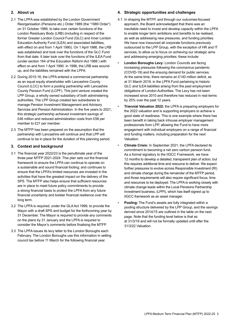## **2. About us**

- 2.1 The LPFA was established by the London Government Reorganisation (Pensions etc.) Order 1989 (the "1989 Order") on 31 October 1989, to take over certain functions of the London Residuary Body (LRB) (including in respect of the former Greater London Council Fund (GLC) and Inner London Education Authority Fund (ILEA) and associated liabilities, with effect on and from 1 April 1990). On 1 April 1986, the LRB was established and took over the functions of the GLC Fund from that date. It later took over the functions of the ILEA Fund (under section 164 of the Education Reform Act 1988 ) with effect on and from 1 April 1990. In 1996, the LRB was woundup, and the liabilities remained with the LPFA.
- 2.2 During 2015-16, the LPFA entered a commercial partnership as an equal equity shareholder with Lancashire County Council (LCC) to form a pooling partnership with Lancashire County Pension Fund (LCPF). This joint venture created the LPP Group, a wholly owned subsidiary of both administering authorities. The LPP Group created two subsidiaries to manage Pension Investment Management and Advisory Services and Pension Administration. In the five years to 2021, this strategic partnership achieved investment savings of £46 million and reduced administration costs from £58 per member to £21 per member.
- 2.3 The MTFP has been prepared on the assumption that the partnership with Lancashire will continue and that LPP will continue to be in place for the duration of this planning period.

#### **3. Context and background**

- 3.1 The financial year 2022/23 is the penultimate year of the three-year MTFP 2021-2024. This plan sets out the financial framework to ensure the LPFA can continue to operate on a sustainable and sound financial footing; and continues to ensure that the LPFA's limited resources are invested in the activities that have the greatest impact on the delivery of the SPS. The MTFP also helps ensure that sufficient resources are in place to meet future policy commitments to provide a strong financial basis to protect the LPFA from any future financial uncertainty and bolster financial resilience over the long term.
- 3.2 The LPFA is required, under the GLA Act 1999, to provide the Mayor with a draft SPS and budget for the forthcoming year by 31 December. The Mayor is required to provide any comments on the plans by 31 January and the LPFA is required to consider the Mayor's comments before finalising the MTFP.
- 3.3 The LPFA issues its levy letter to the London Boroughs each February. The London Boroughs use this information in setting council tax before 11 March for the following financial year.

## **4. Strategic opportunities and challenges**

- 4.1 In shaping the MTFP, and through our outcomes-focused approach, the Board acknowledged that there was an inevitable need to invest and develop capacity within the LPFA to enable longer term ambitions and benefits to be realised, as well as addressing new pressures, and funding priorities. We have now insourced all corporate functions previously outsourced to the LPP Group, with the exception of HR and IT services, to allow us to focus on achieving our strategic aims and addressing emerging priorities; these include:
- **London Boroughs Levy:** London Councils are facing increasing pressures following the coronavirus pandemic (COVID-19) and the ensuing demand for public services. At the same time, there remains an £140 million deficit, as at 31 March 2019, in the LPFA Fund pertaining to historic GLC and ILEA liabilities arising from the past employment obligations of London Authorities. The Levy has not been increased since 2010 and therefore has reduced in real terms by 25% over the past 12 years.
- **Triennial Valuation 2022:** the LPFA is preparing employers for the 2022 valuation and is supporting employers to achieve a good state of readiness. This is one example where there has been benefit in taking back inhouse employer management professionals from LPP, allowing the Fund to have more engagement with individual employers on a range of financial and funding matters, including preparation for the next Valuation.
- **Climate Crisis:** In September 2021, the LPFA declared its commitment to becoming a net zero carbon pension fund. As a formal signatory to the IIGCC Framework, we have 12 months to develop a detailed, transparent plan of action, but this requires additional time and resource to deliver. We expect further pressures to evolve across Responsible Investment (RI) and climate change during the remainder of the MTFP period, and those requirements will also require significant focus, time and resources to be deployed. The LPFA is working closely with climate change leads within the Local Pensions Partnership Investment business, (LPPI), which has itself signed up to IIGCC framework as an asset manager.
- **Pooling:** The Fund's assets are fully integrated within a pooling structure delivered by the LPP Group, and the savings derived since 2014/15 are outlined in the table on the next page. Note that the funding level below is that as at 31/3/19 and will not be formally updated until after the 31/3/22 Valuation.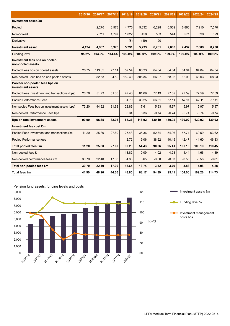|                                                     | 2015/16 | 2016/17 | 2017/18 | 2018/19 | 2019/20 | 2020/21 | 2021/22 | 2022/23 | 2023/24 | 2024/25 |
|-----------------------------------------------------|---------|---------|---------|---------|---------|---------|---------|---------|---------|---------|
| <b>Investment asset £m</b>                          |         |         |         |         |         |         |         |         |         |         |
| Pooled                                              |         | 2,276   | 3,578   | 4,776   | 5,332   | 6,228   | 6,539   | 6,866   | 7,210   | 7,570   |
| Non-pooled                                          |         | 2,711   | 1,797   | 1,022   | 450     | 533     | 544     | 571     | 599     | 629     |
| Derivative                                          |         |         |         | (8)     | (49)    | 20      |         |         |         |         |
| <b>Investment asset</b>                             | 4,194   | 4,987   | 5,375   | 5,791   | 5,733   | 6,781   | 7,083   | 7,437   | 7,809   | 8,200   |
| <b>Funding level</b>                                | 95.2%   | 103.9%  | 114.4%  | 109.0%  | 109.0%  | 109.0%  | 109.0%  | 109.0%  | 109.0%  | 109.0%  |
| Investment fees bps on pooled/<br>non-pooled assets |         |         |         |         |         |         |         |         |         |         |
| Pooled Fees bps on pooled assets                    | 26.75   | 113.35  | 77.14   | 57.54   | 66.33   | 84.04   | 84.04   | 84.04   | 84.04   | 84.04   |
| Non-pooled Fees bps on non-pooled assets            |         | 82.63   | 94.59   | 182.40  | 305.34  | 66.07   | 68.03   | 68.03   | 68.03   | 68.03   |
| Pooled/ non-pooled fees bps on<br>investment assets |         |         |         |         |         |         |         |         |         |         |
| Pooled Fees investment and transactions (bps)       | 26.70   | 51.73   | 51.35   | 47.46   | 61.69   | 77.19   | 77.59   | 77.59   | 77.59   | 77.59   |
| <b>Pooled Performance Fees</b>                      |         |         |         | 4.70    | 33.25   | 56.81   | 57.11   | 57.11   | 57.11   | 57.11   |
| Non-pooled Fees bps on investment assets (bps)      | 73.20   | 44.92   | 31.63   | 23.86   | 17.61   | 5.93    | 5.97    | 5.97    | 5.97    | 5.97    |
| Non-pooled Performance Fees bps                     |         |         |         | 8.34    | 6.36    | $-0.74$ | $-0.74$ | $-0.74$ | $-0.74$ | $-0.74$ |
| <b>Bps on total investment assets</b>               | 99.90   | 96.65   | 82.98   | 84.36   | 118.92  | 139.19  | 139.92  | 139.92  | 139.92  | 139.92  |
| <b>Investment fee cost £m</b>                       |         |         |         |         |         |         |         |         |         |         |
| Pooled Fees investment and transactions £m          | 11.20   | 25.80   | 27.60   | 27.48   | 35.36   | 52.34   | 54.96   | 57.71   | 60.59   | 63.62   |
| Pooled Performance fees                             |         |         |         | 2.72    | 19.06   | 38.52   | 40.45   | 42.47   | 44.60   | 46.83   |
| <b>Total pooled fees £m</b>                         | 11.20   | 25.80   | 27.60   | 30.20   | 54.43   | 90.86   | 95.41   | 100.18  | 105.19  | 110.45  |
| Non-pooled fees £m                                  |         |         |         | 13.82   | 10.09   | 4.02    | 4.23    | 4.44    | 4.66    | 4.89    |
| Non-pooled performance fees £m                      | 30.70   | 22.40   | 17.00   | 4.83    | 3.65    | $-0.50$ | $-0.53$ | $-0.55$ | $-0.58$ | $-0.61$ |
| Total non-pooled fees £m                            | 30.70   | 22.40   | 17.00   | 18.65   | 13.74   | 3.52    | 3.70    | 3.88    | 4.08    | 4.28    |
| <b>Total fees £m</b>                                | 41.90   | 48.20   | 44.60   | 48.85   | 68.17   | 94.39   | 99.11   | 104.06  | 109.26  | 114.73  |

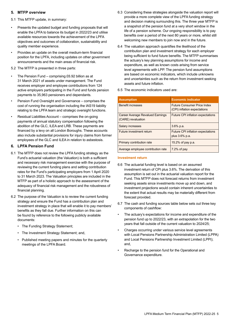## **5. MTFP overview**

- 5.1 This MTFP update, in summary:
- Presents the updated budget and funding proposals that will enable the LPFA to balance its budget in 2022/23 and utilise available resources towards the achievement of the LPFA objectives and outcomes of collaboration, sustainability and quality member experience.
- Provides an update on the overall medium-term financial position for the LPFA, including updates on other government announcements and the main areas of financial risk.
- 5.2 The MTFP is presented in three parts:
- The Pension Fund comprising £6.92 billion as at 31 March 2021 of assets under management. The Fund receives employer and employee contributions from 124 active employers participating in the Fund and funds pension payments to 35,963 pensioners and dependants.
- Pension Fund Oversight and Governance comprises the cost of running the organisation including the IAS19 liability relating to the LPFA team and strategic oversight functions.
- Residual Liabilities Account comprises the on-going payments of annual statutory compensation following the abolition of the GLC, ILEA and LRB. These payments are financed by a levy on all London Boroughs. These accounts also include substantial provisions for injury claims from former employees of the GLC and ILEA in relation to asbestosis.

## **6. LPFA Pension Fund**

- 6.1 The MTFP does not review the LPFA funding strategy as the Fund's actuarial valuation (the Valuation) is both a sufficient and necessary risk management exercise with the purpose of reviewing the current funding plans and setting contribution rates for the Fund's participating employers from 1 April 2020 to 31 March 2023. The Valuation principles are included in the MTFP as part of a holistic approach to the assessment of the adequacy of financial risk management and the robustness of financial planning.
- 6.2 The purpose of the Valuation is to review the current funding strategy and ensure the Fund has a contribution plan and investment strategy in place that will enable it to pay members' benefits as they fall due. Further information on this can be found by reference to the following publicly available documents:
	- The Funding Strategy Statement;
	- The Investment Strategy Statement; and,
	- Published meeting papers and minutes for the quarterly meetings of the LPFA Board.
- 6.3 Considering these strategies alongside the valuation report will provide a more complete view of the LPFA funding strategy and decision making surrounding this. The three year MTFP is a snapshot of the pension fund at a very short window in the life of a pension scheme. Our ongoing responsibility is to pay benefits over a period of the next 80 years or more, whilst still welcoming new members to join now and in the future.
- 6.4 The valuation approach quantifies the likelihood of the contribution plan and investment strategy for each employer being sufficient to fund future benefits. The MTFP summarises the actuary's key planning assumptions for income and expenditure, as well as known costs arising from service level agreements with LPP. The pension fund assumptions are based on economic indicators, which include unknowns and uncertainties such as the return from investment seeking assets and future inflation.

| <b>Assumption</b>                                             | <b>Economic indicator</b>                                          |
|---------------------------------------------------------------|--------------------------------------------------------------------|
| Benefit increases                                             | <b>Future Consumer Price Index</b><br>(CPI) inflation expectations |
| <b>Career Average Revalued Earnings</b><br>(CARE) revaluation | <b>Future CPI inflation expectations</b>                           |
| Salary increases                                              | $3.6\%$ p.a.                                                       |
| Future investment return                                      | Future CPI inflation expectations<br>plus 3.6% p.a.                |
| Primary contribution rate                                     | 15.2% of pay p.a.                                                  |
| Average employee contribution rate                            | $7.2%$ of pay                                                      |

## 6.5 The economic indicators used are:

## **Investment return**

- 6.6 The actuarial funding level is based on an assumed investment return of CPI plus 3.6%. The derivation of this assumption is set out in the actuarial valuation report for the Fund. This MTFP does not forecast returns from investment seeking assets since investments move up and down, and investment projections would contain inherent uncertainties to the extent that actual results may be materially different from forecast provided.
- 6.7 The cash and funding sources table below sets out three key components of cashflow:
- The actuary's expectations for income and expenditure of the pension fund up to 2022/23, with an extrapolation for the two years that fall outside of the current valuation to 2024/25;
- Charges occurring under various service level agreements with Local Pensions Partnership Administration Limited (LPPA) and Local Pensions Partnership Investment Limited (LPPI); and,
- Recharge to the pension fund for the Operational and Governance expenditure.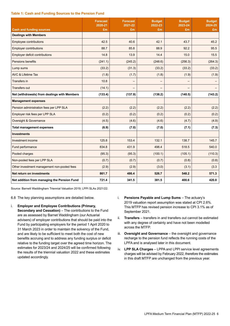#### **Table 1: Cash and Funding Sources to the Pension Fund**

|                                              | <b>Forecast</b><br>2020-21 | <b>Forecast</b><br>2021-22 | <b>Budget</b><br>2022-23 | <b>Budget</b><br>2023-24 | <b>Budget</b><br>2024-25 |
|----------------------------------------------|----------------------------|----------------------------|--------------------------|--------------------------|--------------------------|
| <b>Cash and funding sources</b>              | £m                         | £m                         | £m                       | £m                       | £m                       |
| <b>Dealings with Members</b>                 |                            |                            |                          |                          |                          |
| <b>Employee contributions</b>                | 42.5                       | 40.6                       | 42.1                     | 43.7                     | 45.2                     |
| <b>Employer contributions</b>                | 88.7                       | 85.8                       | 88.9                     | 92.2                     | 95.5                     |
| Employer deficit contributions               | 14.8                       | 13.9                       | 14.4                     | 15.0                     | 15.5                     |
| Pensions benefits                            | (241.1)                    | (245.2)                    | (248.6)                  | (256.3)                  | (264.3)                  |
| Lump sums                                    | (33.2)                     | (31.3)                     | (33.2)                   | (33.2)                   | (33.2)                   |
| <b>AVC &amp; Lifetime Tax</b>                | (1.8)                      | (1.7)                      | (1.8)                    | (1.9)                    | (1.9)                    |
| Transfers in                                 | 10.8                       |                            | —                        | -                        |                          |
| <b>Transfers out</b>                         | (14.1)                     | —                          |                          |                          |                          |
| Net (withdrawals) from dealings with Members | (133.4)                    | (137.9)                    | (138.2)                  | (140.5)                  | (143.2)                  |
| <b>Management expenses</b>                   |                            |                            |                          |                          |                          |
| Pension administration fees per LPP SLA      | (2.2)                      | (2.2)                      | (2.2)                    | (2.2)                    | (2.2)                    |
| Employer risk fees per LPP SLA               | (0.2)                      | (0.2)                      | (0.2)                    | (0.2)                    | (0.2)                    |
| Oversight & Governance                       | (4.5)                      | (4.6)                      | (4.6)                    | (4.7)                    | (4.9)                    |
| <b>Total management expenses</b>             | (6.9)                      | (7.0)                      | (7.0)                    | (7.1)                    | (7.3)                    |
| <b>Investments</b>                           |                            |                            |                          |                          |                          |
| Investment income                            | 125.8                      | 153.4                      | 132.1                    | 138.7                    | 145.7                    |
| Fund performance                             | 834.8                      | 431.9                      | 498.4                    | 518.5                    | 540.0                    |
| Pooled charges                               | (95.3)                     | (95.3)                     | (100.1)                  | (105.1)                  | (110.3)                  |
| Non-pooled fees per LPP SLA                  | (0.7)                      | (0.7)                      | (0.7)                    | (0.8)                    | (0.8)                    |
| Other investment management non-pooled fees  | (2.9)                      | (2.9)                      | (3.0)                    | (3.1)                    | (3.3)                    |
| Net return on investments                    | 861.7                      | 486.4                      | 526.7                    | 548.2                    | 571.3                    |
| Net addition from managing the Pension Fund  | 721.4                      | 341.5                      | 381.5                    | 400.6                    | 420.8                    |

Source: Barnett Waddingham Triennial Valuation 2019; LPPI SLAs 2021/22.

6.8 The key planning assumptions are detailed below.

- i. **Employer and Employee Contributions (Primary, Secondary and Cessation)** – The contributions to the Fund are as assessed by Barnet Waddingham (our Actuarial advisers) of employer contributions that should be paid into the Fund by participating employers for the period 1 April 2020 to 31 March 2023 in order to maintain the solvency of the Fund, and are likely to be sufficient to meet both the cost of new benefits accruing and to address any funding surplus or deficit relative to the funding target over the agreed time horizon. The estimates for 2023/24 and 2024/25 will be confirmed following the results of the triennial valuation 2022 and these estimates updated accordingly.
- i. **Pensions Payable and Lump Sums** The actuary's 2019 valuation report assumption was stated at CPI 2.6%. This MTFP has revised pension increase to CPI 3.1% as of September 2021.
- ii. **Transfers** transfers in and transfers out cannot be estimated with any degree of certainty and have not been modelled across the MTFP.
- iii. **Oversight and Governance** the oversight and governance recharge to the pension fund reflects the running costs of the LPFA and is analysed later in this document.
- iv. **LPP SLA Charges** LPPA and LPPI service level agreements charges will be advised by February 2022, therefore the estimates in this draft MTFP are unchanged from the previous year.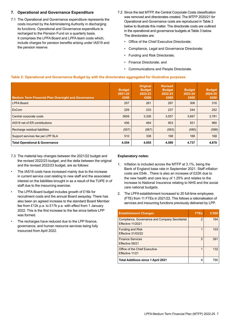## **7. Operational and Governance Expenditure**

- 7.1 The Operational and Governance expenditure represents the costs incurred by the Administering Authority in discharging its functions. Operational and Governance expenditure is recharged to the Pension Fund on a quarterly basis. It comprises the LPFA Board and LPFA team costs which, include charges for pension benefits arising under IAS19 and the pension reserve.
- 7.2 Since the last MTFP, the Central Corporate Costs classification was removed and directorates created. The MTFP 2020/21 for Operational and Governance costs are reproduced in Table 2 below to illustrate this matter. The directorate costs are outlined in the operational and governance budgets at Table 3 below. The directorates are:
	- Office of the Chief Executive Directorate;
	- Compliance, Legal and Governance Directorate;
	- Funding and Risk Directorate;
	- Finance Directorate; and
	- Communications and People Directorate.

#### **Table 2: Operational and Governance Budget by with the directorates aggregated for illustrative purposes**

| <b>Medium Term Financial Plan Oversight and Governance</b> | <b>Budget</b><br>2021-22<br>£000 | <b>Original</b><br><b>Budget</b><br>2022-23<br>£000 | <b>Revised</b><br><b>Budget</b><br>2022-23<br>£000 | <b>Budget</b><br>2023-24<br>£000 | <b>Budget</b><br>2024-25<br>£000 |
|------------------------------------------------------------|----------------------------------|-----------------------------------------------------|----------------------------------------------------|----------------------------------|----------------------------------|
| <b>LPFA Board</b>                                          | 257                              | 261                                                 | 297                                                | 306                              | 316                              |
| <b>ExCom</b>                                               | 229                              | 233                                                 | 237                                                | 244                              | 252                              |
| Central corporate costs                                    | 3659                             | 3,326                                               | 3,557                                              | 3,667                            | 3,781                            |
| IAS19 net of ER contributions                              | 456                              | 464                                                 | 903                                                | 931                              | 960                              |
| Recharge residual liabilities                              | (557)                            | (567)                                               | (563)                                              | (580)                            | (598)                            |
| Support services fee per LPP SLA                           | 510                              | 338                                                 | 168                                                | 168                              | 168                              |
| <b>Total Operational &amp; Governance</b>                  | 4,554                            | 4,055                                               | 4,599                                              | 4,737                            | 4,878                            |

- 7.3 The material key changes between the 2021/22 budget and the revised 2022/23 budget, and the delta between the original and the revised 2022/23 budget, are as follows:
- The IAS19 costs have increased mainly due to the increase in current service cost relating to new staff and the associated interest on the liabilities brought in as a result of the TUPE in of staff due to the insourcing exercise.
- The LPFA Board budget includes growth of £16k for recruitment costs and the annual Board awayday. There has also been an agreed increase to the standard Board Member fee from £12k p.a. to £17k p.a. with effect from 1 January 2022. This is the first increase to the fee since before LPP was formed.
- The recharges have reduced due to the LPP finance, governance, and human resource services being fully insourced from April 2022.

#### **Explanatory notes:**

- 1. Inflation is included across the MTFP at 3.1%, being the Bank of England base rate in September 2021. Staff inflation costs are £54k . There is also an increase of £22K due to the new health and care levy of 1.25% and relates to the increase to National Insurance relating to NHS and the social care national budgets.
- 2. The LPFA establishment increased to 20 full-time employees (FTE) from 11 FTEs in 2021/22. This follows a rationalisation of services and insourcing functions previously delivered by LPP.

| <b>Establishment Changes</b>                                        | <b>FTEs</b>    | £'000 |
|---------------------------------------------------------------------|----------------|-------|
| Compliance, Governance and Company Secretarial<br>Effective 11/2021 | $\overline{2}$ | 164   |
| <b>Funding and Risk</b><br><b>Effective 31/03/22</b>                |                | 103   |
| <b>Finance Services</b><br>Effective 09/21                          | 5              | 391   |
| Office of the Chief Executive<br>Effective 11/21                    |                | 132   |
| <b>Total Additions since 1 April 2021</b>                           | 9              | 790   |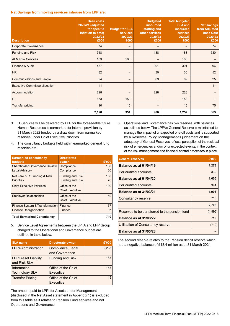#### **Net Savings from moving services inhouse from LPP are:**

| <b>Description</b>                    | <b>Base costs</b><br><b>2020/21 (adjusted)</b><br>for specific<br>inflation to date)<br>2022/23<br>£000 | <b>Budget for SLA</b><br>services<br>2020/23<br>£000 | <b>Budgeted</b><br>insourced<br>staffing and<br>other services<br>2020/23<br>£000 | <b>Total budgeted</b><br><b>SLA and</b><br>insourced<br><b>services</b><br>2020/23<br>£000 | <b>Net savings</b><br>from Adjusted<br><b>Base Cost</b><br>2020/23<br>£000 |
|---------------------------------------|---------------------------------------------------------------------------------------------------------|------------------------------------------------------|-----------------------------------------------------------------------------------|--------------------------------------------------------------------------------------------|----------------------------------------------------------------------------|
| <b>Corporate Governance</b>           | 74                                                                                                      |                                                      |                                                                                   |                                                                                            | 74                                                                         |
| Funding and Risk                      | 718                                                                                                     |                                                      | 188                                                                               | 188                                                                                        | 530                                                                        |
| <b>ALM Risk Services</b>              | 183                                                                                                     | 183                                                  |                                                                                   | 183                                                                                        |                                                                            |
| Finance & Audit                       | 487                                                                                                     |                                                      | 391                                                                               | 391                                                                                        | 96                                                                         |
| HR                                    | 82                                                                                                      |                                                      | 30                                                                                | 30                                                                                         | 52                                                                         |
| <b>Communications and People</b>      | 94                                                                                                      |                                                      | 69                                                                                | 69                                                                                         | 25                                                                         |
| <b>Executive Committee allocation</b> | 11                                                                                                      |                                                      |                                                                                   | $\overline{\phantom{m}}$                                                                   | 11                                                                         |
| Accommodation                         | 228                                                                                                     |                                                      | 228                                                                               | 228                                                                                        |                                                                            |
| IT                                    | 153                                                                                                     | 153                                                  |                                                                                   | 153                                                                                        |                                                                            |
| <b>Transfer pricing</b>               | 90                                                                                                      | 15                                                   |                                                                                   | 15                                                                                         | 75                                                                         |
|                                       | 2,120                                                                                                   | 351                                                  | 906                                                                               | 1,257                                                                                      | 863                                                                        |

- 3. IT Services will be delivered by LPP for the foreseeable future. Human Resources is earmarked for internal provision by 31 March 2022 funded by a draw down from earmarked reserves under Chief Executive Priorities.
- 4. The consultancy budgets held within earmarked general fund reserves are:

| <b>Earmarked consultancy</b><br>budgets                          | <b>Directorate</b><br>owner                        | £'000     |
|------------------------------------------------------------------|----------------------------------------------------|-----------|
| <b>Shareholder Governance Review</b><br><b>Legal Advisory</b>    | Compliance<br>Compliance                           | 150<br>30 |
| Net Zero & RI Funding & Risk<br><b>Priorities</b>                | <b>Funding and Risk</b><br><b>Funding and Risk</b> | 150<br>76 |
| <b>Chief Executive Priorities</b>                                | Office of the<br><b>Chief Executive</b>            | 100       |
| <b>Employer Relationships</b>                                    | Office of the<br><b>Chief Executive</b>            | 50        |
| Finance System & Transformation<br><b>Finance Reorganisation</b> | Finance<br>Finance                                 | 57<br>97  |
| <b>Total Earmarked Consultancy</b>                               |                                                    | 710       |

5. Service Level Agreements between the LPFA and LPP Group charged to the Operational and Governance budget are outlined in table below.

| <b>SLA name</b>                             | <b>Directorate owner</b>            | £'000 |
|---------------------------------------------|-------------------------------------|-------|
| <b>LPPA Administration</b>                  | Compliance, Legal<br>and Governance | 2,235 |
| <b>LPPI Asset Liability</b><br>and Risk SLA | <b>Funding and Risk</b>             | 183   |
| Information<br><b>Technology SLA</b>        | Office of the Chief<br>Executive    | 153   |
| <b>Transfer Pricing</b>                     | Office of the Chief<br>Executive    | 15    |

The amount paid to LPPI for Assets under Management (disclosed in the Net Asset statement in Appendix 1) is excluded from this table as it relates to Pension Fund services and not Operations and Governance.

6. Operational and Governance has two reserves, with balances as outlined below. The LPFA's General Reserve is maintained to manage the impact of unexpected one-off costs and is supported by a Reserves Policy. Management's judgement on the adequacy of General Reserves reflects perception of the residual risk of emergencies and/or of unexpected events, in the context of the risk management and financial control processes in place.

| <b>General reserves</b>                        | £'000   |
|------------------------------------------------|---------|
| Balance as at 01/04/19                         | 1,273   |
| Per audited accounts                           | 332     |
| Balance as at 01/04/20                         | 1,605   |
| Per audited accounts                           | 391     |
| <b>Balance as at 31/03/21</b>                  | 1,996   |
| Consultancy reserve                            | 710     |
|                                                | 2,706   |
| Reserves to be transferred to the pension fund | (1,996) |
| <b>Balance as at 31/03/22</b>                  | 710     |
| Utilisation of Consultancy reserve             | (710)   |
| <b>Balance as at 31/03/23</b>                  |         |

The second reserve relates to the Pension deficit reserve which had a negative balance of £18.4 million as at 31 March 2021.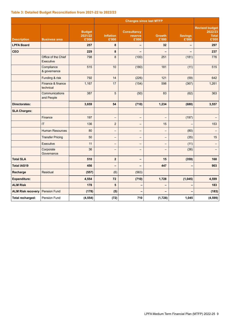#### **Table 3: Detailed Budget Reconciliation from 2021-22 to 2022/23**

|                          |                                  |                                   |                           |                                        | <b>Changes since last MTFP</b> |                         |                                                           |
|--------------------------|----------------------------------|-----------------------------------|---------------------------|----------------------------------------|--------------------------------|-------------------------|-----------------------------------------------------------|
| <b>Description</b>       | <b>Business area</b>             | <b>Budget</b><br>2021/22<br>£'000 | <b>Inflation</b><br>£'000 | <b>Consultancy</b><br>reserve<br>£'000 | <b>Growth</b><br>£'000         | <b>Savings</b><br>£'000 | <b>Revised budget</b><br>2022/23<br><b>Total</b><br>£'000 |
| <b>LPFA Board</b>        |                                  | 257                               | 8                         | -                                      | 32                             | $\qquad \qquad$         | 297                                                       |
| <b>CEO</b>               |                                  | 229                               | 8                         | -                                      |                                |                         | 237                                                       |
|                          | Office of the Chief<br>Executive | 798                               | $\bf 8$                   | (100)                                  | 251                            | (181)                   | 776                                                       |
|                          | Compliance<br>& governance       | 515                               | 10                        | (180)                                  | 181                            | (11)                    | 515                                                       |
|                          | Funding & risk                   | 792                               | 14                        | (226)                                  | $121$                          | (59)                    | 642                                                       |
|                          | Finance & finance<br>technical   | 1,167                             | 17                        | (154)                                  | 598                            | (367)                   | 1,261                                                     |
|                          | Communications<br>and People     | 387                               | 5                         | (50)                                   | 83                             | (62)                    | 363                                                       |
| <b>Directorates:</b>     |                                  | 3,659                             | 54                        | (710)                                  | 1,234                          | (680)                   | 3,557                                                     |
| <b>SLA Charges:</b>      |                                  |                                   |                           |                                        |                                |                         |                                                           |
|                          | Finance                          | 197                               | $\overline{\phantom{0}}$  | —                                      | $\overline{\phantom{0}}$       | (197)                   |                                                           |
|                          | $\mathsf{I}\mathsf{T}$           | 136                               | $\overline{c}$            | <sup>-</sup>                           | 15                             |                         | 153                                                       |
|                          | <b>Human Resources</b>           | 80                                | <sup>-</sup>              | —                                      | —                              | (80)                    |                                                           |
|                          | <b>Transfer Pricing</b>          | 50                                | $\overline{\phantom{0}}$  | $\overline{\phantom{0}}$               | $\overline{\phantom{0}}$       | (35)                    | 15                                                        |
|                          | Executive                        | 11                                | —                         | <sup>-</sup>                           | $\qquad \qquad -$              | (11)                    |                                                           |
|                          | Corporate<br>Governance          | 36                                | $\overline{\phantom{0}}$  | —                                      |                                | (36)                    |                                                           |
| <b>Total SLA</b>         |                                  | 510                               | $\overline{2}$            | -                                      | 15                             | (359)                   | 168                                                       |
| <b>Total IAS19</b>       |                                  | 456                               | -                         | -                                      | 447                            |                         | 903                                                       |
| Recharge                 | Residual                         | (557)                             | (6)                       | (563)                                  |                                |                         |                                                           |
| <b>Expenditure:</b>      |                                  | 4,554                             | 72                        | (710)                                  | 1,728                          | (1,045)                 | 4,599                                                     |
| <b>ALM Risk</b>          |                                  | 178                               | 5                         |                                        | -                              |                         | 183                                                       |
| <b>ALM Risk recovery</b> | <b>Pension Fund</b>              | (178)                             | (5)                       |                                        |                                |                         | (183)                                                     |
| Total recharged:         | Pension Fund                     | (4, 554)                          | (72)                      | 710                                    | (1,728)                        | 1,045                   | (4, 599)                                                  |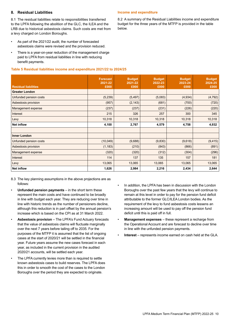### **8. Residual Liabilities**

8.1 The residual liabilities relate to responsibilities transferred to the LPFA following the abolition of the GLC, the ILEA and the LRB due to historical asbestosis claims. Such costs are met from a levy charged on London Boroughs.

- As part of the 2021/22 audit, the number of forecasted asbestosis claims were revised and the provision reduced.
- There is a year-on-year reduction of the management charge paid to LPFA from residual liabilities in line with reducing benefit payments.

#### **Table 5 Residual liabilities income and expenditure 2021/22 to 2024/25**

#### **Income and expenditure**

8.2 A summary of the Residual Liabilities income and expenditure budget for the three years of the MTFP is provided in the table below.

|                             | <b>Forecast</b> | <b>Budget</b> | <b>Budget</b> | <b>Budget</b> | <b>Budget</b> |
|-----------------------------|-----------------|---------------|---------------|---------------|---------------|
|                             | 2021-22         | 2021-22       | 2022-23       | 2023-24       | 2024-25       |
| <b>Residual liabilities</b> | £000            | £000          | £000          | £000          | £000          |
| <b>Greater London</b>       |                 |               |               |               |               |
| Unfunded pension costs      | (5, 239)        | (5, 497)      | (5,083)       | (4, 934)      | (4, 792)      |
| Asbestosis provision        | (957)           | (2, 143)      | (681)         | (700)         | (720)         |
| Management expense          | (237)           | (237)         | (231)         | (226)         | (220)         |
| Interest                    | 215             | 326           | 257           | 300           | 345           |
| Levy                        | 10,318          | 10,318        | 10,318        | 10,318        | 10,318        |
| <b>Net inflow</b>           | 4,100           | 2,767         | 4,579         | 4,758         | 4,932         |
|                             |                 |               |               |               |               |
| <b>Inner London</b>         |                 |               |               |               |               |
| Unfunded pension costs      | (10,049)        | (9,688)       | (9,830)       | (9,618)       | (9, 415)      |
| Asbestosis provision        | (1, 183)        | (210)         | (843)         | (866)         | (891)         |
| Management expense          | (320)           | (320)         | (312)         | (304)         | (296)         |
| Interest                    | 114             | 137           | 135           | 157           | 181           |
| Levy                        | 13,065          | 13,065        | 13,065        | 13,065        | 13,065        |
| <b>Net inflow</b>           | 1,626           | 2,984         | 2,216         | 2,434         | 2,644         |

- 8.3 The key planning assumptions in the above projections are as follows:
- **Unfunded pension payments** in the short term these represent the main costs and have continued to be broadly in line with budget each year. They are reducing over time in line with historic trends as the number of pensioners decline, although this reduction is in part offset by the annual pension's increase which is based on the CPI as at 31 March 2022.
- **Asbestosis provision** The LPFA's Fund Actuary forecasts that the value of asbestosis claims will fluctuate marginally over the next 7 years before tailing off to 2035. For the purposes of the MTFP it is assumed that the list of ongoing cases at the start of 2020/21 will be settled in the financial year. Future years assume the new cases forecast in each year, as included in the current provision in the audited 2020/21 accounts, will be settled each year.
- The LPFA currently levies more than is required to settle known asbestosis cases to build reserves. The LPFA does this in order to smooth the cost of the cases to the London Boroughs over the period they are expected to originate.
- In addition, the LPFA has been in discussion with the London Boroughs over the past few years that the levy will continue to remain at this level in order to pay for the pension fund deficit attributable to the former GLC/ILEA London bodies. As the requirement of the levy to fund asbestosis costs lessens an increasing amount will be used to pay off the pension fund deficit until this is paid off in full.
- **Management expenses** these represent a recharge from the Operational Account and are forecast to decline over time in line with the unfunded pension payments.
- **Interest** represents income earned on cash held at the GLA.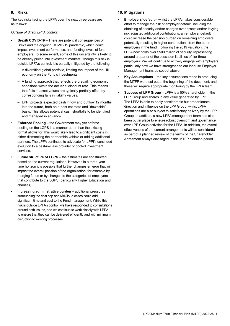## **9. Risks**

The key risks facing the LPFA over the next three years are as follows:

*Outside of direct LPFA control:*

- **Brexit/ COVID-19** There are potential consequences of Brexit and the ongoing COVID-19 pandemic, which could impact investment performance, and funding levels of fund employers. To some extent, some of this uncertainty is likely to be already priced into investment markets. Though this risk is outside LPFA's control, it is partially mitigated by the following:
	- A diversified global portfolio, limiting the impact of the UK economy on the Fund's investments.
	- A funding approach that reflects the prevailing economic conditions within the actuarial discount rate. This means that falls in asset values are typically partially offset by corresponding falls in liability values.
	- LPPI projects expected cash inflow and outflow 12 months into the future, both on a best estimate and "downside" basis. This allows potential cash shortfalls to be identified and managed in advance.
- **Enforced Pooling** the Government may yet enforce pooling on the LGPS in a manner other than the existing format allows for This would likely lead to significant costs in either dismantling the partnership vehicle or adding additional partners. The LPFA continues to advocate for LPPI's continued evolution to a best-in-class provider of pooled investment services.
- **Future structure of LGPS** the estimates are constructed based on the current regulations. However, in a three-year time horizon it is possible that further changes emerge that will impact the overall position of the organisation, for example by merging funds or by changes to the categories of employers that contribute to the LGPS (particularly Higher Education and charities).
- **Increasing administrative burden** additional pressures surrounding the cost cap and McCloud cases could add significant time and cost to the Fund management. While this risk is outside LPFA's control, we have responded to consultations around both issues, and we continue to work closely with LPPA to ensure that they can be delivered efficiently and with minimum disruption to existing processes.

## **10. Mitigations**

- **Employers' default** whilst the LPFA makes considerable effort to manage the risk of employer default, including the obtaining of security and/or charges over assets and/or levying risk adjusted additional contributions, an employer default could increase the pension burden on remaining employers, potentially resulting in higher contributions from the other employers in the fund. Following the 2019 valuation, the LPFA now holds over £500 million of security, representing around a quarter of the cessation liabilities of tier three employers. We will continue to actively engage with employers particularly now we have strengthened our inhouse Employer Management team, as set out above.
- **Key Assumptions** the key assumptions made in producing the MTFP were set out at the beginning of the document, and these will require appropriate monitoring by the LPFA team.
- **Success of LPP Group** LPFA is a 50% shareholder in the LPP Group and shares in any value generated by LPP. The LPFA is able to apply considerable but proportionate direction and influence on the LPP Group, whilst LPFA operations are also subject to satisfactory delivery by the LPP Group. In addition, a new LPFA management team has also been put in place to ensure robust oversight and governance over LPP Group activities for the LPFA. In addition, the overall effectiveness of the current arrangements will be considered as part of a planned review of the terms of the Shareholder Agreement always envisaged in this MTFP planning period.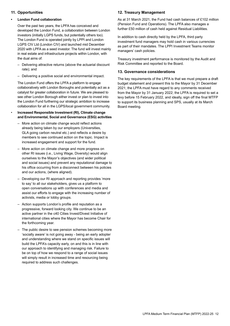## **11. Opportunities**

## **• London Fund collaboration**

Over the past two years, the LPFA has conceived and developed the London Fund, a collaboration between London investors (initially LGPS funds, but potentially others too). The London Fund is operated jointly by LPPI and London LGPS CIV Ltd (London CIV) and launched mid December 2020 with LPFA as a seed investor. The fund will invest mainly in real estate and infrastructure projects within London, with the dual aims of:

- Delivering attractive returns (above the actuarial discount rate); and
- Delivering a positive social and environmental impact.

The London Fund offers the LPFA a platform to engage collaboratively with London Boroughs and potentially act as a catalyst for greater collaboration in future. We are pleased to see other London Borough either invest or plan to invest into the London Fund furthering our strategic ambition to increase collaboration for all in the LGPS/local government community.

- **Increased Responsible Investment (RI), Climate change and Environmental, Social and Governance (ESG) activities**
	- More action on climate change would reflect actions already being taken by our employers (Universities, GLA going carbon neutral etc.) and reflects a desire by members to see continued action on the topic. Impact is increased engagement and support for the fund.
	- More action on climate change and more progress on other RI issues (i.e., Living Wage, Diversity) would align ourselves to the Mayor's objectives (and wider political and social issues) and prevent any reputational damage to his office occurring from a disconnect between his policies and our actions, (where aligned).
	- Developing our RI approach and reporting provides 'more to say' to all our stakeholders, gives us a platform to open conversations up with conferences and media and assist our efforts to engage with the increasing number of activists, media or lobby groups.
	- Action supports London's profile and reputation as a progressive, forward looking city. We continue to be an active partner in the c40 Cities Invest/Divest Initiative of international cities where the Mayor has become Chair for the forthcoming year.
	- The public desire to see pension schemes becoming more 'socially aware' is not going away - being an early adopter and understanding where we stand on specific issues will build the LPFA's capacity early, on and this is in line with our approach to identifying and managing risk. Failure to be on top of how we respond to a range of social issues will simply result in increased time and resourcing being required to address such challenges.

## **12. Treasury Management**

As at 31 March 2021, the Fund had cash balances of £102 million (Pension Fund and Operations). The LPFA also manages a further £50 million of cash held against Residual Liabilities.

In addition to cash directly held by the LPFA, third party investment fund managers may hold cash in various currencies as part of their mandates. The LPPI Investment Teams monitor managers' cash policies.

Treasury investment performance is monitored by the Audit and Risk Committee and reported to the Board.

## **13. Governance considerations**

The key requirements of the LPFA is that we must prepare a draft budget statement and present this to the Mayor by 31 December 2021; the LPFA must have regard to any comments received from the Mayor by 31 January 2022; the LPFA is required to set a levy before 15 February 2022, and ideally, sign off the final MTFP to support its business planning and SPS, usually at its March Board meeting.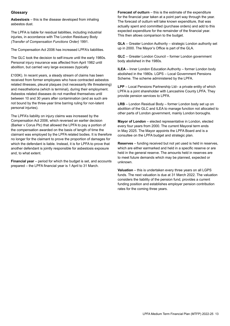## **Glossary**

**Asbestosis** – this is the disease developed from inhaling asbestos dust.

The LPFA is liable for residual liabilities, including industrial injuries, in accordance with The London Residuary Body *(Transfer of Compensation Functions Order)* 1991.

The Compensation Act 2006 has increased LPFA's liabilities.

The GLC took the decision to self-insure until the early 1980s. Personal injury insurance was affected from April 1982 until abolition, but carried very large excesses (typically

£100K). In recent years, a steady stream of claims has been received from former employees who have contracted asbestos related illnesses, pleural plaques (not necessarily life threatening) and mesothelioma (which is terminal), during their employment. Asbestos related diseases do not manifest themselves until between 10 and 30 years after contamination (and as such are not bound by the three-year time barring ruling for non-latent personal injuries).

The LPFA's liability on injury claims was increased by the Compensation Act 2006, which reversed an earlier decision (Barker v Corus Plc) that allowed the LPFA to pay a portion of the compensation awarded on the basis of length of time the claimant was employed by the LPFA related bodies. It is therefore no longer for the claimant to prove the proportion of damages for which the defendant is liable. Instead, it is for LPFA to prove that another defendant is jointly responsible for asbestosis exposure and, to what extent.

**Financial year** – period for which the budget is set, and accounts prepared – the LPFA financial year is 1 April to 31 March.

**Forecast of outturn** – this is the estimate of the expenditure for the financial year taken at a point part way through the year. The forecast of outturn will take known expenditure, that was actually spent and committed (purchase orders) and add to this expected expenditure for the remainder of the financial year. This then allows comparison to the budget.

**GLA** – Greater London Authority – strategic London authority set up in 2000. The Mayor's Office is part of the GLA.

**GLC** – Greater London Council – former London government body abolished in the 1980s.

**ILEA** – Inner London Education Authority – former London body abolished in the 1980s. LGPS – Local Government Pensions Scheme. The scheme administered by the LPFA.

**LPP** – Local Pensions Partnership Ltd– a private entity of which LPFA is a joint shareholder with Lancashire County LPFA. They provide pension services to LPFA.

**LRB** – London Residual Body – former London body set up on abolition of the GLC and ILEA to manage function not allocated to other parts of London government, mainly London boroughs.

**Mayor of London** – elected representative in London, elected every four years from 2000. The current Mayoral term ends in May 2025. The Mayor appoints the LPFA Board and is a consultee on the LPFA budget and strategic plan.

**Reserves** – funding received but not yet used is held in reserves, which are either earmarked and held in a specific reserve or are held in the general reserve. The amounts held in reserves are to meet future demands which may be planned, expected or unknown.

**Valuation** – this is undertaken every three years on all LGPS funds. The next valuation is due at 31 March 2022. The valuation considers the liability of the pension fund, provides a current funding position and establishes employer pension contribution rates for the coming three years.